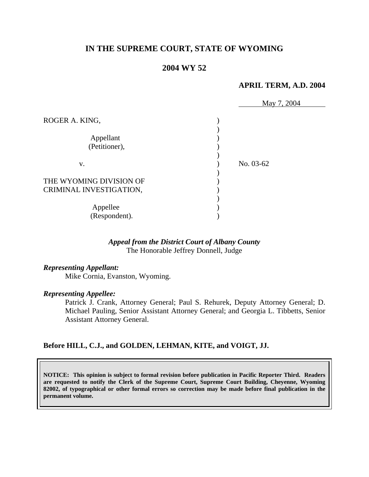# **IN THE SUPREME COURT, STATE OF WYOMING**

## **2004 WY 52**

#### **APRIL TERM, A.D. 2004**

|                         | May 7, 2004 |
|-------------------------|-------------|
| ROGER A. KING,          |             |
| Appellant               |             |
| (Petitioner),           |             |
| V.                      | No. 03-62   |
| THE WYOMING DIVISION OF |             |
| CRIMINAL INVESTIGATION, |             |
| Appellee                |             |
| (Respondent).           |             |

#### *Appeal from the District Court of Albany County* The Honorable Jeffrey Donnell, Judge

#### *Representing Appellant:*

Mike Cornia, Evanston, Wyoming.

#### *Representing Appellee:*

Patrick J. Crank, Attorney General; Paul S. Rehurek, Deputy Attorney General; D. Michael Pauling, Senior Assistant Attorney General; and Georgia L. Tibbetts, Senior Assistant Attorney General.

#### **Before HILL, C.J., and GOLDEN, LEHMAN, KITE, and VOIGT, JJ.**

**NOTICE: This opinion is subject to formal revision before publication in Pacific Reporter Third. Readers are requested to notify the Clerk of the Supreme Court, Supreme Court Building, Cheyenne, Wyoming 82002, of typographical or other formal errors so correction may be made before final publication in the permanent volume.**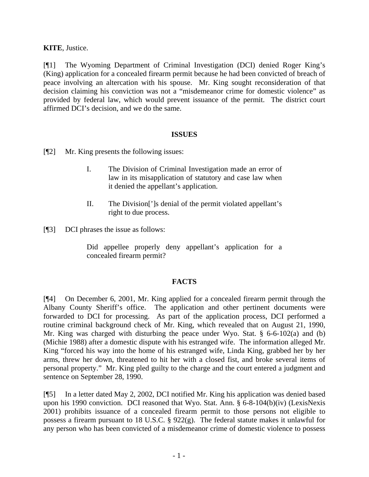#### **KITE**, Justice.

[¶1] The Wyoming Department of Criminal Investigation (DCI) denied Roger King's (King) application for a concealed firearm permit because he had been convicted of breach of peace involving an altercation with his spouse. Mr. King sought reconsideration of that decision claiming his conviction was not a "misdemeanor crime for domestic violence" as provided by federal law, which would prevent issuance of the permit. The district court affirmed DCI's decision, and we do the same.

#### **ISSUES**

[¶2] Mr. King presents the following issues:

- I. The Division of Criminal Investigation made an error of law in its misapplication of statutory and case law when it denied the appellant's application.
- II. The Division[']s denial of the permit violated appellant's right to due process.

[¶3] DCI phrases the issue as follows:

Did appellee properly deny appellant's application for a concealed firearm permit?

## **FACTS**

[¶4] On December 6, 2001, Mr. King applied for a concealed firearm permit through the Albany County Sheriff's office. The application and other pertinent documents were forwarded to DCI for processing. As part of the application process, DCI performed a routine criminal background check of Mr. King, which revealed that on August 21, 1990, Mr. King was charged with disturbing the peace under Wyo. Stat. § 6-6-102(a) and (b) (Michie 1988) after a domestic dispute with his estranged wife. The information alleged Mr. King "forced his way into the home of his estranged wife, Linda King, grabbed her by her arms, threw her down, threatened to hit her with a closed fist, and broke several items of personal property." Mr. King pled guilty to the charge and the court entered a judgment and sentence on September 28, 1990.

[¶5] In a letter dated May 2, 2002, DCI notified Mr. King his application was denied based upon his 1990 conviction. DCI reasoned that Wyo. Stat. Ann. § 6-8-104(b)(iv) (LexisNexis 2001) prohibits issuance of a concealed firearm permit to those persons not eligible to possess a firearm pursuant to 18 U.S.C. § 922(g). The federal statute makes it unlawful for any person who has been convicted of a misdemeanor crime of domestic violence to possess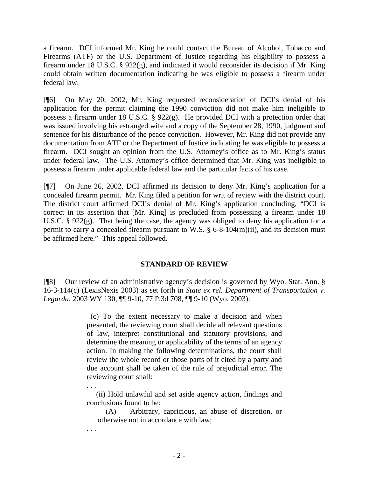a firearm. DCI informed Mr. King he could contact the Bureau of Alcohol, Tobacco and Firearms (ATF) or the U.S. Department of Justice regarding his eligibility to possess a firearm under 18 U.S.C. § 922(g), and indicated it would reconsider its decision if Mr. King could obtain written documentation indicating he was eligible to possess a firearm under federal law.

[¶6] On May 20, 2002, Mr. King requested reconsideration of DCI's denial of his application for the permit claiming the 1990 conviction did not make him ineligible to possess a firearm under 18 U.S.C. § 922(g). He provided DCI with a protection order that was issued involving his estranged wife and a copy of the September 28, 1990, judgment and sentence for his disturbance of the peace conviction. However, Mr. King did not provide any documentation from ATF or the Department of Justice indicating he was eligible to possess a firearm. DCI sought an opinion from the U.S. Attorney's office as to Mr. King's status under federal law. The U.S. Attorney's office determined that Mr. King was ineligible to possess a firearm under applicable federal law and the particular facts of his case.

[¶7] On June 26, 2002, DCI affirmed its decision to deny Mr. King's application for a concealed firearm permit. Mr. King filed a petition for writ of review with the district court. The district court affirmed DCI's denial of Mr. King's application concluding, "DCI is correct in its assertion that [Mr. King] is precluded from possessing a firearm under 18 U.S.C. § 922(g). That being the case, the agency was obliged to deny his application for a permit to carry a concealed firearm pursuant to W.S.  $\S$  6-8-104(m)(ii), and its decision must be affirmed here." This appeal followed.

#### **STANDARD OF REVIEW**

[¶8] Our review of an administrative agency's decision is governed by Wyo. Stat. Ann. § 16-3-114(c) (LexisNexis 2003) as set forth in *State ex rel. Department of Transportation v. Legarda*, 2003 WY 130, ¶¶ 9-10, 77 P.3d 708, ¶¶ 9-10 (Wyo. 2003):

> (c) To the extent necessary to make a decision and when presented, the reviewing court shall decide all relevant questions of law, interpret constitutional and statutory provisions, and determine the meaning or applicability of the terms of an agency action. In making the following determinations, the court shall review the whole record or those parts of it cited by a party and due account shall be taken of the rule of prejudicial error. The reviewing court shall:

> . . . (ii) Hold unlawful and set aside agency action, findings and conclusions found to be:

(A) Arbitrary, capricious, an abuse of discretion, or otherwise not in accordance with law;

. . .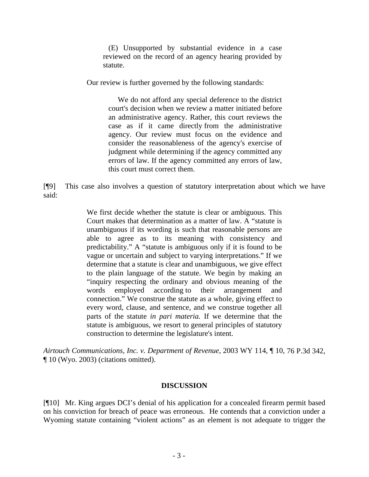(E) Unsupported by substantial evidence in a case reviewed on the record of an agency hearing provided by statute.

Our review is further governed by the following standards:

We do not afford any special deference to the district court's decision when we review a matter initiated before an administrative agency. Rather, this court reviews the case as if it came directly from the administrative agency. Our review must focus on the evidence and consider the reasonableness of the agency's exercise of judgment while determining if the agency committed any errors of law. If the agency committed any errors of law, this court must correct them.

[¶9] This case also involves a question of statutory interpretation about which we have said:

> We first decide whether the statute is clear or ambiguous. This Court makes that determination as a matter of law. A "statute is unambiguous if its wording is such that reasonable persons are able to agree as to its meaning with consistency and predictability." A "statute is ambiguous only if it is found to be vague or uncertain and subject to varying interpretations." If we determine that a statute is clear and unambiguous, we give effect to the plain language of the statute. We begin by making an "inquiry respecting the ordinary and obvious meaning of the words employed according to their arrangement and connection." We construe the statute as a whole, giving effect to every word, clause, and sentence, and we construe together all parts of the statute *in pari materia.* If we determine that the statute is ambiguous, we resort to general principles of statutory construction to determine the legislature's intent.

*Airtouch Communications, Inc. v. Department of Revenue*, 2003 WY 114, ¶ 10, 76 P.3d 342, ¶ 10 (Wyo. 2003) (citations omitted).

#### **DISCUSSION**

[¶10] Mr. King argues DCI's denial of his application for a concealed firearm permit based on his conviction for breach of peace was erroneous. He contends that a conviction under a Wyoming statute containing "violent actions" as an element is not adequate to trigger the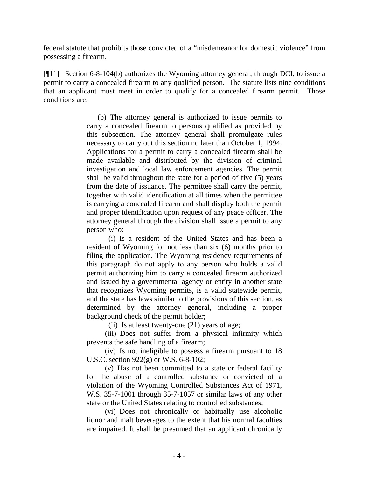federal statute that prohibits those convicted of a "misdemeanor for domestic violence" from possessing a firearm.

[¶11] Section 6-8-104(b) authorizes the Wyoming attorney general, through DCI, to issue a permit to carry a concealed firearm to any qualified person. The statute lists nine conditions that an applicant must meet in order to qualify for a concealed firearm permit. Those conditions are:

> (b) The attorney general is authorized to issue permits to carry a concealed firearm to persons qualified as provided by this subsection. The attorney general shall promulgate rules necessary to carry out this section no later than October 1, 1994. Applications for a permit to carry a concealed firearm shall be made available and distributed by the division of criminal investigation and local law enforcement agencies. The permit shall be valid throughout the state for a period of five (5) years from the date of issuance. The permittee shall carry the permit, together with valid identification at all times when the permittee is carrying a concealed firearm and shall display both the permit and proper identification upon request of any peace officer. The attorney general through the division shall issue a permit to any person who:

> (i) Is a resident of the United States and has been a resident of Wyoming for not less than six (6) months prior to filing the application. The Wyoming residency requirements of this paragraph do not apply to any person who holds a valid permit authorizing him to carry a concealed firearm authorized and issued by a governmental agency or entity in another state that recognizes Wyoming permits, is a valid statewide permit, and the state has laws similar to the provisions of this section, as determined by the attorney general, including a proper background check of the permit holder;

(ii) Is at least twenty-one (21) years of age;

(iii) Does not suffer from a physical infirmity which prevents the safe handling of a firearm;

(iv) Is not ineligible to possess a firearm pursuant to 18 U.S.C. section 922(g) or W.S. 6-8-102;

(v) Has not been committed to a state or federal facility for the abuse of a controlled substance or convicted of a violation of the Wyoming Controlled Substances Act of 1971, W.S. 35-7-1001 through 35-7-1057 or similar laws of any other state or the United States relating to controlled substances;

(vi) Does not chronically or habitually use alcoholic liquor and malt beverages to the extent that his normal faculties are impaired. It shall be presumed that an applicant chronically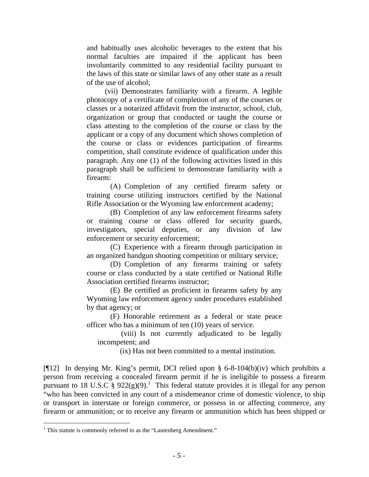and habitually uses alcoholic beverages to the extent that his normal faculties are impaired if the applicant has been involuntarily committed to any residential facility pursuant to the laws of this state or similar laws of any other state as a result of the use of alcohol;

(vii) Demonstrates familiarity with a firearm. A legible photocopy of a certificate of completion of any of the courses or classes or a notarized affidavit from the instructor, school, club, organization or group that conducted or taught the course or class attesting to the completion of the course or class by the applicant or a copy of any document which shows completion of the course or class or evidences participation of firearms competition, shall constitute evidence of qualification under this paragraph. Any one (1) of the following activities listed in this paragraph shall be sufficient to demonstrate familiarity with a firearm:

(A) Completion of any certified firearm safety or training course utilizing instructors certified by the National Rifle Association or the Wyoming law enforcement academy;

 (B) Completion of any law enforcement firearms safety or training course or class offered for security guards, investigators, special deputies, or any division of law enforcement or security enforcement;

(C) Experience with a firearm through participation in an organized handgun shooting competition or military service;

(D) Completion of any firearms training or safety course or class conducted by a state certified or National Rifle Association certified firearms instructor;

(E) Be certified as proficient in firearms safety by any Wyoming law enforcement agency under procedures established by that agency; or

(F) Honorable retirement as a federal or state peace officer who has a minimum of ten (10) years of service.

(viii) Is not currently adjudicated to be legally incompetent; and

(ix) Has not been committed to a mental institution.

[ $[12]$  In denying Mr. King's permit, DCI relied upon § 6-8-104(b)(iv) which prohibits a person from receiving a concealed firearm permit if he is ineligible to possess a firearm pursuant to 18 U.S.C §  $922(g)(9)$ .<sup>1</sup> This federal statute provides it is illegal for any person "who has been convicted in any court of a misdemeanor crime of domestic violence, to ship or transport in interstate or foreign commerce, or possess in or affecting commerce, any firearm or ammunition; or to receive any firearm or ammunition which has been shipped or

 $\overline{a}$ 

<sup>&</sup>lt;sup>1</sup> This statute is commonly referred to as the "Lautenberg Amendment."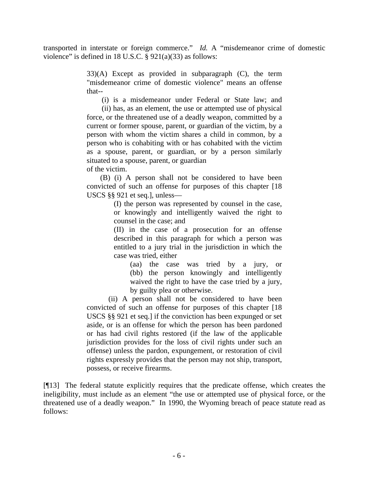transported in interstate or foreign commerce." *Id.* A "misdemeanor crime of domestic violence" is defined in 18 U.S.C. § 921(a)(33) as follows:

> 33)(A) Except as provided in subparagraph (C), the term "misdemeanor crime of domestic violence" means an offense that--

(i) is a misdemeanor under Federal or State law; and

 (ii) has, as an element, the use or attempted use of physical force, or the threatened use of a deadly weapon, committed by a current or former spouse, parent, or guardian of the victim, by a person with whom the victim shares a child in common, by a person who is cohabiting with or has cohabited with the victim as a spouse, parent, or guardian, or by a person similarly situated to a spouse, parent, or guardian of the victim.

 (B) (i) A person shall not be considered to have been convicted of such an offense for purposes of this chapter [18 USCS §§ 921 et seq.], unless—

(I) the person was represented by counsel in the case, or knowingly and intelligently waived the right to counsel in the case; and

(II) in the case of a prosecution for an offense described in this paragraph for which a person was entitled to a jury trial in the jurisdiction in which the case was tried, either

(aa) the case was tried by a jury, or (bb) the person knowingly and intelligently waived the right to have the case tried by a jury, by guilty plea or otherwise.

(ii) A person shall not be considered to have been convicted of such an offense for purposes of this chapter [18 USCS §§ 921 et seq.] if the conviction has been expunged or set aside, or is an offense for which the person has been pardoned or has had civil rights restored (if the law of the applicable jurisdiction provides for the loss of civil rights under such an offense) unless the pardon, expungement, or restoration of civil rights expressly provides that the person may not ship, transport, possess, or receive firearms.

[¶13] The federal statute explicitly requires that the predicate offense, which creates the ineligibility, must include as an element "the use or attempted use of physical force, or the threatened use of a deadly weapon." In 1990, the Wyoming breach of peace statute read as follows: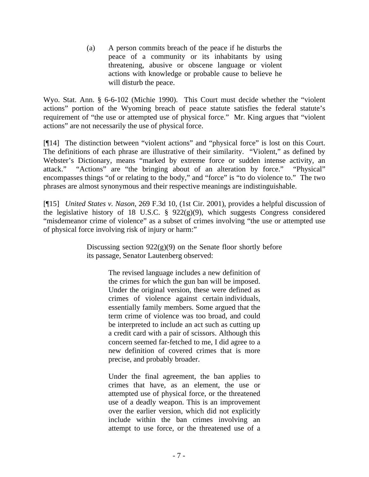(a) A person commits breach of the peace if he disturbs the peace of a community or its inhabitants by using threatening, abusive or obscene language or violent actions with knowledge or probable cause to believe he will disturb the peace.

Wyo. Stat. Ann. § 6-6-102 (Michie 1990). This Court must decide whether the "violent actions" portion of the Wyoming breach of peace statute satisfies the federal statute's requirement of "the use or attempted use of physical force." Mr. King argues that "violent actions" are not necessarily the use of physical force.

[¶14] The distinction between "violent actions" and "physical force" is lost on this Court. The definitions of each phrase are illustrative of their similarity. "Violent," as defined by Webster's Dictionary, means "marked by extreme force or sudden intense activity, an attack." "Actions" are "the bringing about of an alteration by force." "Physical" encompasses things "of or relating to the body," and "force" is "to do violence to." The two phrases are almost synonymous and their respective meanings are indistinguishable.

[¶15] *United States v. Nason,* 269 F.3d 10, (1st Cir. 2001), provides a helpful discussion of the legislative history of 18 U.S.C. § 922(g)(9), which suggests Congress considered "misdemeanor crime of violence" as a subset of crimes involving "the use or attempted use of physical force involving risk of injury or harm:"

> Discussing section  $922(g)(9)$  on the Senate floor shortly before its passage, Senator Lautenberg observed:

> > The revised language includes a new definition of the crimes for which the gun ban will be imposed. Under the original version, these were defined as crimes of violence against certain individuals, essentially family members. Some argued that the term crime of violence was too broad, and could be interpreted to include an act such as cutting up a credit card with a pair of scissors. Although this concern seemed far-fetched to me, I did agree to a new definition of covered crimes that is more precise, and probably broader.

> > Under the final agreement, the ban applies to crimes that have, as an element, the use or attempted use of physical force, or the threatened use of a deadly weapon. This is an improvement over the earlier version, which did not explicitly include within the ban crimes involving an attempt to use force, or the threatened use of a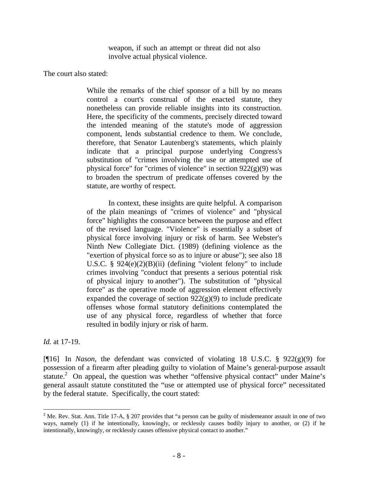weapon, if such an attempt or threat did not also involve actual physical violence.

The court also stated:

While the remarks of the chief sponsor of a bill by no means control a court's construal of the enacted statute, they nonetheless can provide reliable insights into its construction. Here, the specificity of the comments, precisely directed toward the intended meaning of the statute's mode of aggression component, lends substantial credence to them. We conclude, therefore, that Senator Lautenberg's statements, which plainly indicate that a principal purpose underlying Congress's substitution of "crimes involving the use or attempted use of physical force" for "crimes of violence" in section 922(g)(9) was to broaden the spectrum of predicate offenses covered by the statute, are worthy of respect.

In context, these insights are quite helpful. A comparison of the plain meanings of "crimes of violence" and "physical force" highlights the consonance between the purpose and effect of the revised language. "Violence" is essentially a subset of physical force involving injury or risk of harm. See Webster's Ninth New Collegiate Dict. (1989) (defining violence as the "exertion of physical force so as to injure or abuse"); see also 18 U.S.C. § 924(e)(2)(B)(ii) (defining "violent felony" to include crimes involving "conduct that presents a serious potential risk of physical injury to another"). The substitution of "physical force" as the operative mode of aggression element effectively expanded the coverage of section  $922(g)(9)$  to include predicate offenses whose formal statutory definitions contemplated the use of any physical force, regardless of whether that force resulted in bodily injury or risk of harm.

*Id.* at 17-19.

[¶16] In *Nason,* the defendant was convicted of violating 18 U.S.C. § 922(g)(9) for possession of a firearm after pleading guilty to violation of Maine's general-purpose assault statute.<sup>2</sup> On appeal, the question was whether "offensive physical contact" under Maine's general assault statute constituted the "use or attempted use of physical force" necessitated by the federal statute. Specifically, the court stated:

<sup>&</sup>lt;sup>2</sup> Me. Rev. Stat. Ann. Title 17-A, § 207 provides that "a person can be guilty of misdemeanor assault in one of two ways, namely (1) if he intentionally, knowingly, or recklessly causes bodily injury to another, or (2) if he intentionally, knowingly, or recklessly causes offensive physical contact to another."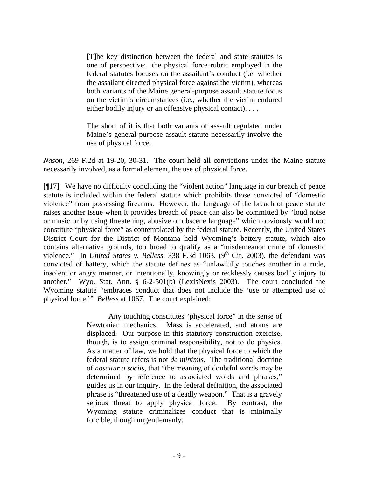[T]he key distinction between the federal and state statutes is one of perspective: the physical force rubric employed in the federal statutes focuses on the assailant's conduct (i.e. whether the assailant directed physical force against the victim), whereas both variants of the Maine general-purpose assault statute focus on the victim's circumstances (i.e., whether the victim endured either bodily injury or an offensive physical contact). . . .

The short of it is that both variants of assault regulated under Maine's general purpose assault statute necessarily involve the use of physical force.

*Nason,* 269 F.2d at 19-20, 30-31. The court held all convictions under the Maine statute necessarily involved, as a formal element, the use of physical force.

[¶17] We have no difficulty concluding the "violent action" language in our breach of peace statute is included within the federal statute which prohibits those convicted of "domestic violence" from possessing firearms. However, the language of the breach of peace statute raises another issue when it provides breach of peace can also be committed by "loud noise or music or by using threatening, abusive or obscene language" which obviously would not constitute "physical force" as contemplated by the federal statute. Recently, the United States District Court for the District of Montana held Wyoming's battery statute, which also contains alternative grounds, too broad to qualify as a "misdemeanor crime of domestic violence." In *United States v. Belless*, 338 F.3d 1063, (9<sup>th</sup> Cir. 2003), the defendant was convicted of battery, which the statute defines as "unlawfully touches another in a rude, insolent or angry manner, or intentionally, knowingly or recklessly causes bodily injury to another." Wyo. Stat. Ann. § 6-2-501(b) (LexisNexis 2003). The court concluded the Wyoming statute "embraces conduct that does not include the 'use or attempted use of physical force.'" *Belless* at 1067. The court explained:

> Any touching constitutes "physical force" in the sense of Newtonian mechanics. Mass is accelerated, and atoms are displaced. Our purpose in this statutory construction exercise, though, is to assign criminal responsibility, not to do physics. As a matter of law, we hold that the physical force to which the federal statute refers is not *de minimis.* The traditional doctrine of *noscitur a sociis,* that "the meaning of doubtful words may be determined by reference to associated words and phrases," guides us in our inquiry. In the federal definition, the associated phrase is "threatened use of a deadly weapon." That is a gravely serious threat to apply physical force. By contrast, the Wyoming statute criminalizes conduct that is minimally forcible, though ungentlemanly.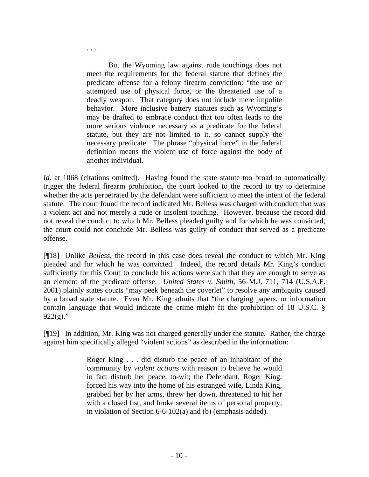But the Wyoming law against rude touchings does not meet the requirements for the federal statute that defines the predicate offense for a felony firearm conviction: "the use or attempted use of physical force, or the threatened use of a deadly weapon. That category does not include mere impolite behavior. More inclusive battery statutes such as Wyoming's may be drafted to embrace conduct that too often leads to the more serious violence necessary as a predicate for the federal statute, but they are not limited to it, so cannot supply the necessary predicate. The phrase "physical force" in the federal definition means the violent use of force against the body of another individual.

. . .

*Id.* at 1068 (citations omitted). Having found the state statute too broad to automatically trigger the federal firearm prohibition, the court looked to the record to try to determine whether the acts perpetrated by the defendant were sufficient to meet the intent of the federal statute. The court found the record indicated Mr. Belless was charged with conduct that was a violent act and not merely a rude or insolent touching. However, because the record did not reveal the conduct to which Mr. Belless pleaded guilty and for which he was convicted, the court could not conclude Mr. Belless was guilty of conduct that served as a predicate offense.

[¶18] Unlike *Belless,* the record in this case does reveal the conduct to which Mr. King pleaded and for which he was convicted. Indeed, the record details Mr. King's conduct sufficiently for this Court to conclude his actions were such that they are enough to serve as an element of the predicate offense. *United States v. Smith,* 56 M.J. 711, 714 (U.S.A.F. 2001) plainly states courts "may peek beneath the coverlet" to resolve any ambiguity caused by a broad state statute. Even Mr. King admits that "the charging papers, or information contain language that would indicate the crime might fit the prohibition of 18 U.S.C. §  $922(g)$ ."

[¶19] In addition, Mr. King was not charged generally under the statute. Rather, the charge against him specifically alleged "violent actions" as described in the information:

> Roger King . . . did disturb the peace of an inhabitant of the community by *violent actions* with reason to believe he would in fact disturb her peace, to-wit; the Defendant, Roger King, forced his way into the home of his estranged wife, Linda King, grabbed her by her arms, threw her down, threatened to hit her with a closed fist, and broke several items of personal property, in violation of Section 6-6-102(a) and (b) (emphasis added).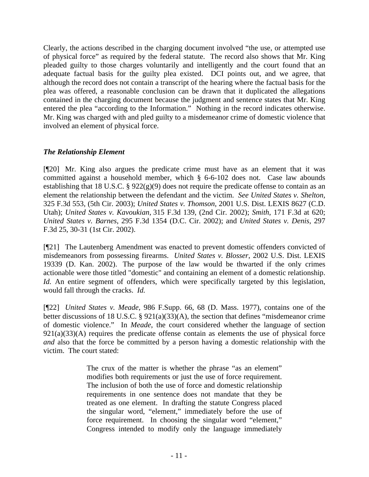Clearly, the actions described in the charging document involved "the use, or attempted use of physical force" as required by the federal statute. The record also shows that Mr. King pleaded guilty to those charges voluntarily and intelligently and the court found that an adequate factual basis for the guilty plea existed. DCI points out, and we agree, that although the record does not contain a transcript of the hearing where the factual basis for the plea was offered, a reasonable conclusion can be drawn that it duplicated the allegations contained in the charging document because the judgment and sentence states that Mr. King entered the plea "according to the Information." Nothing in the record indicates otherwise. Mr. King was charged with and pled guilty to a misdemeanor crime of domestic violence that involved an element of physical force.

## *The Relationship Element*

[¶20] Mr. King also argues the predicate crime must have as an element that it was committed against a household member, which § 6-6-102 does not. Case law abounds establishing that 18 U.S.C. § 922(g)(9) does not require the predicate offense to contain as an element the relationship between the defendant and the victim. *See United States v. Shelton,*  325 F.3d 553, (5th Cir. 2003); *United States v. Thomson*, 2001 U.S. Dist. LEXIS 8627 (C.D. Utah); *United States v. Kavoukian*, 315 F.3d 139, (2nd Cir. 2002); *Smith*, 171 F.3d at 620; *United States v. Barnes*, 295 F.3d 1354 (D.C. Cir. 2002); and *United States v. Denis*, 297 F.3d 25, 30-31 (1st Cir. 2002).

[¶21] The Lautenberg Amendment was enacted to prevent domestic offenders convicted of misdemeanors from possessing firearms. *United States v. Blosser*, 2002 U.S. Dist. LEXIS 19339 (D. Kan. 2002). The purpose of the law would be thwarted if the only crimes actionable were those titled "domestic" and containing an element of a domestic relationship. *Id.* An entire segment of offenders, which were specifically targeted by this legislation, would fall through the cracks. *Id.* 

[¶22] *United States v. Meade,* 986 F.Supp. 66, 68 (D. Mass. 1977), contains one of the better discussions of 18 U.S.C. § 921(a)(33)(A), the section that defines "misdemeanor crime of domestic violence." In *Meade*, the court considered whether the language of section  $921(a)(33)(A)$  requires the predicate offense contain as elements the use of physical force *and* also that the force be committed by a person having a domestic relationship with the victim. The court stated:

> The crux of the matter is whether the phrase "as an element" modifies both requirements or just the use of force requirement. The inclusion of both the use of force and domestic relationship requirements in one sentence does not mandate that they be treated as one element. In drafting the statute Congress placed the singular word, "element," immediately before the use of force requirement. In choosing the singular word "element," Congress intended to modify only the language immediately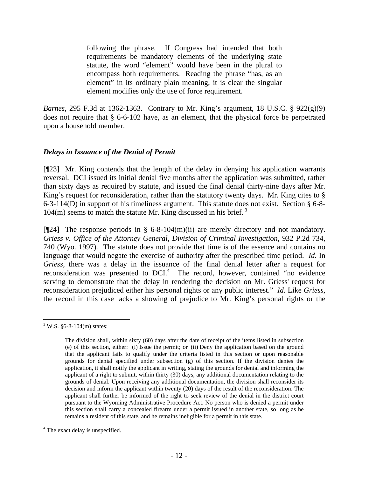following the phrase. If Congress had intended that both requirements be mandatory elements of the underlying state statute, the word "element" would have been in the plural to encompass both requirements. Reading the phrase "has, as an element" in its ordinary plain meaning, it is clear the singular element modifies only the use of force requirement.

*Barnes,* 295 F.3d at 1362-1363. Contrary to Mr. King's argument, 18 U.S.C. § 922(g)(9) does not require that § 6-6-102 have, as an element, that the physical force be perpetrated upon a household member.

## *Delays in Issuance of the Denial of Permit*

[¶23] Mr. King contends that the length of the delay in denying his application warrants reversal. DCI issued its initial denial five months after the application was submitted, rather than sixty days as required by statute, and issued the final denial thirty-nine days after Mr. King's request for reconsideration, rather than the statutory twenty days. Mr. King cites to § 6-3-114(D) in support of his timeliness argument. This statute does not exist. Section § 6-8-  $104(m)$  seems to match the statute Mr. King discussed in his brief.<sup>3</sup>

[¶24] The response periods in § 6-8-104(m)(ii) are merely directory and not mandatory. *Griess v. Office of the Attorney General, Division of Criminal Investigation,* 932 P.2d 734, 740 (Wyo. 1997). The statute does not provide that time is of the essence and contains no language that would negate the exercise of authority after the prescribed time period. *Id.* In *Griess,* there was a delay in the issuance of the final denial letter after a request for reconsideration was presented to DCI.<sup>4</sup> The record, however, contained "no evidence serving to demonstrate that the delay in rendering the decision on Mr. Griess' request for reconsideration prejudiced either his personal rights or any public interest." *Id.* Like *Griess,*  the record in this case lacks a showing of prejudice to Mr. King's personal rights or the

 $\overline{a}$ 

 $3$  W.S. §6-8-104(m) states:

The division shall, within sixty (60) days after the date of receipt of the items listed in subsection (e) of this section, either: (i) Issue the permit; or (ii) Deny the application based on the ground that the applicant fails to qualify under the criteria listed in this section or upon reasonable grounds for denial specified under subsection (g) of this section. If the division denies the application, it shall notify the applicant in writing, stating the grounds for denial and informing the applicant of a right to submit, within thirty (30) days, any additional documentation relating to the grounds of denial. Upon receiving any additional documentation, the division shall reconsider its decision and inform the applicant within twenty (20) days of the result of the reconsideration. The applicant shall further be informed of the right to seek review of the denial in the district court pursuant to the Wyoming Administrative Procedure Act. No person who is denied a permit under this section shall carry a concealed firearm under a permit issued in another state, so long as he remains a resident of this state, and he remains ineligible for a permit in this state.

<sup>&</sup>lt;sup>4</sup> The exact delay is unspecified.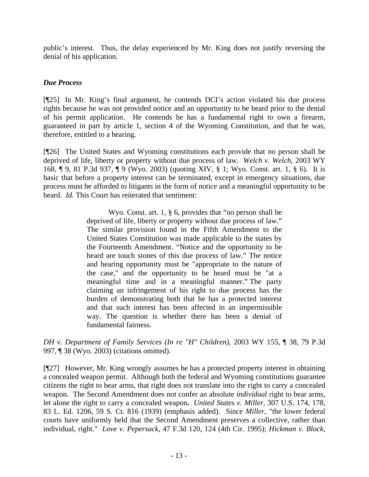public's interest. Thus, the delay experienced by Mr. King does not justify reversing the denial of his application.

# *Due Process*

[¶25] In Mr. King's final argument, he contends DCI's action violated his due process rights because he was not provided notice and an opportunity to be heard prior to the denial of his permit application. He contends he has a fundamental right to own a firearm, guaranteed in part by article 1, section 4 of the Wyoming Constitution, and that he was, therefore, entitled to a hearing.

[¶26] The United States and Wyoming constitutions each provide that no person shall be deprived of life, liberty or property without due process of law. *Welch v. Welch,* 2003 WY 168, ¶ 9, 81 P.3d 937, ¶ 9 (Wyo. 2003) (quoting XIV, § 1; Wyo. Const. art. 1, § 6). It is basic that before a property interest can be terminated, except in emergency situations, due process must be afforded to litigants in the form of notice and a meaningful opportunity to be heard. *Id.* This Court has reiterated that sentiment:

> Wyo. Const. art. 1, § 6, provides that "no person shall be deprived of life, liberty or property without due process of law." The similar provision found in the Fifth Amendment to the United States Constitution was made applicable to the states by the Fourteenth Amendment. "Notice and the opportunity to be heard are touch stones of this due process of law." The notice and hearing opportunity must be "appropriate to the nature of the case," and the opportunity to be heard must be "at a meaningful time and in a meaningful manner." The party claiming an infringement of his right to due process has the burden of demonstrating both that he has a protected interest and that such interest has been affected in an impermissible way. The question is whether there has been a denial of fundamental fairness.

*DH v. Department of Family Services (In re "H" Children)*, 2003 WY 155, ¶ 38, 79 P.3d 997, ¶ 38 (Wyo. 2003) (citations omitted).

[¶27] However, Mr. King wrongly assumes he has a protected property interest in obtaining a concealed weapon permit. Although both the federal and Wyoming constitutions guarantee citizens the right to bear arms, that right does not translate into the right to carry a concealed weapon. The Second Amendment does not confer an absolute *individual* right to bear arms, let alone the right to carry a concealed weapon**.** *United States v. Miller*, 307 U.S. 174, 178, 83 L. Ed. 1206, 59 S. Ct. 816 (1939) (emphasis added). Since *Miller*, "the lower federal courts have uniformly held that the Second Amendment preserves a collective, rather than individual, right." *Love v. Pepersack*, 47 F.3d 120, 124 (4th Cir. 1995); *Hickman v. Block*,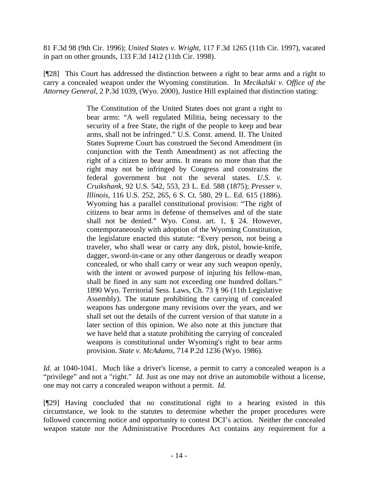81 F.3d 98 (9th Cir. 1996); *United States v. Wright*, 117 F.3d 1265 (11th Cir. 1997), vacated in part on other grounds, 133 F.3d 1412 (11th Cir. 1998).

[¶28] This Court has addressed the distinction between a right to bear arms and a right to carry a concealed weapon under the Wyoming constitution. In *Mecikalski v. Office of the Attorney General,* 2 P.3d 1039, (Wyo. 2000), Justice Hill explained that distinction stating:

> The Constitution of the United States does not grant a right to bear arms: "A well regulated Militia, being necessary to the security of a free State, the right of the people to keep and bear arms, shall not be infringed." U.S. Const. amend. II. The United States Supreme Court has construed the Second Amendment (in conjunction with the Tenth Amendment) as not affecting the right of a citizen to bear arms. It means no more than that the right may not be infringed by Congress and constrains the federal government but not the several states. *U.S. v. Cruikshank,* 92 U.S. 542, 553, 23 L. Ed. 588 (1875); *Presser v. Illinois,* 116 U.S. 252, 265, 6 S. Ct. 580, 29 L. Ed. 615 (1886). Wyoming has a parallel constitutional provision: "The right of citizens to bear arms in defense of themselves and of the state shall not be denied." Wyo. Const. art. 1, § 24. However, contemporaneously with adoption of the Wyoming Constitution, the legislature enacted this statute: "Every person, not being a traveler, who shall wear or carry any dirk, pistol, bowie-knife, dagger, sword-in-cane or any other dangerous or deadly weapon concealed, or who shall carry or wear any such weapon openly, with the intent or avowed purpose of injuring his fellow-man, shall be fined in any sum not exceeding one hundred dollars." 1890 Wyo. Territorial Sess. Laws, Ch. 73 § 96 (11th Legislative Assembly). The statute prohibiting the carrying of concealed weapons has undergone many revisions over the years, and we shall set out the details of the current version of that statute in a later section of this opinion. We also note at this juncture that we have held that a statute prohibiting the carrying of concealed weapons is constitutional under Wyoming's right to bear arms provision. *State v. McAdams,* 714 P.2d 1236 (Wyo. 1986).

*Id.* at 1040-1041. Much like a driver's license, a permit to carry a concealed weapon is a "privilege" and not a "right." *Id.* Just as one may not drive an automobile without a license, one may not carry a concealed weapon without a permit. *Id.* 

[¶29] Having concluded that no constitutional right to a hearing existed in this circumstance, we look to the statutes to determine whether the proper procedures were followed concerning notice and opportunity to contest DCI's action. Neither the concealed weapon statute nor the Administrative Procedures Act contains any requirement for a